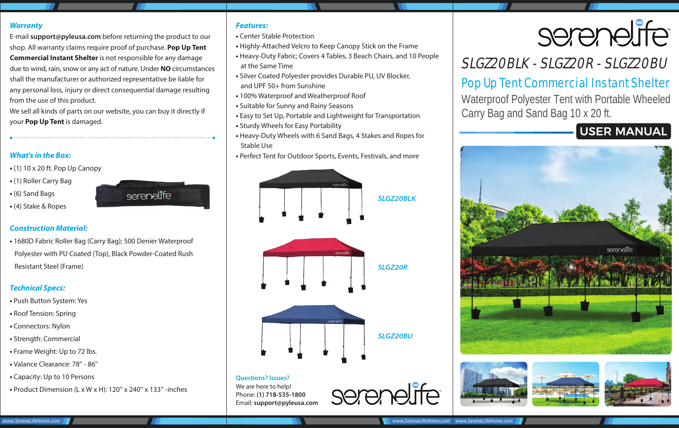## *Warranty*

E-mail **support@pyleusa.com** before returning the product to our shop. All warranty claims require proof of purchase. **Pop Up Tent Commercial Instant Shelter** is not responsible for any damage due to wind, rain, snow or any act of nature. Under **NO** circumstances shall the manufacturer or authorized representative be liable for any personal loss, injury or direct consequential damage resulting from the use of this product.

We sell all kinds of parts on our website, you can buy it directly if your **Pop Up Tent** is damaged.

## *What's in the Box:*

- (1) 10 x 20 ft. Pop Up Canopy
- (1) Roller Carry Bag
- (6) Sand Bags



**•** (4) Stake & Ropes

## *Construction Material:*

**•** 1680D Fabric Roller Bag (Carry Bag); 500 Denier Waterproof Polyester with PU Coated (Top), Black Powder-Coated Rush Resistant Steel (Frame)

## *Technical Specs:*

- Push Button System: Yes
- Roof Tension: Spring
- Connectors: Nylon
- Strength: Commercial
- Frame Weight: Up to 72 lbs.
- Valance Clearance: 78'' 86''
- Capacity: Up to 10 Persons
- Product Dimension (L x W x H): 120'' x 240'' x 133'' -inches

## *Features:*

- Center Stable Protection
- Highly-Attached Velcro to Keep Canopy Stick on the Frame
- Heavy-Duty Fabric; Covers 4 Tables, 3 Beach Chairs, and 10 People at the Same Time
- Silver Coated Polyester provides Durable PU, UV Blocker, and UPF 50+ from Sunshine
- 100% Waterproof and Weatherproof Roof
- Suitable for Sunny and Rainy Seasons
- Easy to Set Up, Portable and Lightweight for Transportation
- Sturdy Wheels for Easy Portability
- Heavy-Duty Wheels with 6 Sand Bags, 4 Stakes and Ropes for Stable Use
- Perfect Tent for Outdoor Sports, Events, Festivals, and more



#### **Questions? Issues?** We are here to help! Phone: **(1) 718-535-1800** Email: **support@pyleusa.com**



# SLGZ20BLK - SLGZ20R - SLGZ20BU

## Pop Up Tent Commercial Instant Shelter

Waterproof Polyester Tent with Portable Wheeled Carry Bag and Sand Bag 10 x 20 ft.

## USER MANUAL







#### *www.SereneLifeHome.com www.SereneLifeHome.com www.SereneLifeHome.com*

serenelife